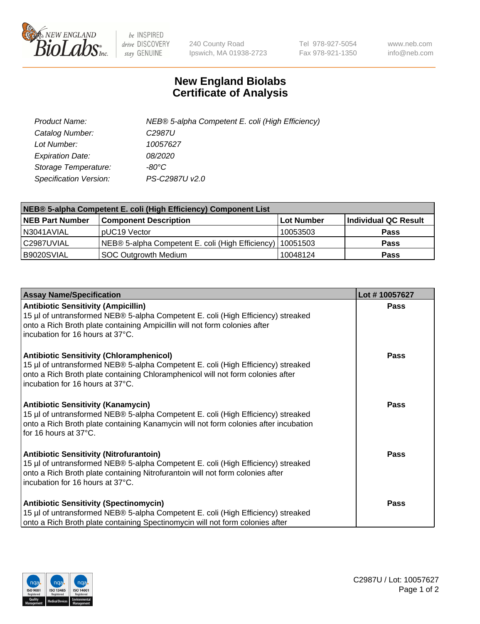

 $be$  INSPIRED drive DISCOVERY stay GENUINE

240 County Road Ipswich, MA 01938-2723 Tel 978-927-5054 Fax 978-921-1350 www.neb.com info@neb.com

## **New England Biolabs Certificate of Analysis**

| Product Name:                 | NEB® 5-alpha Competent E. coli (High Efficiency) |
|-------------------------------|--------------------------------------------------|
| Catalog Number:               | C <sub>2987</sub> U                              |
| Lot Number:                   | 10057627                                         |
| <b>Expiration Date:</b>       | <i>08/2020</i>                                   |
| Storage Temperature:          | -80°C                                            |
| <b>Specification Version:</b> | PS-C2987U v2.0                                   |

| NEB® 5-alpha Competent E. coli (High Efficiency) Component List |                                                             |            |                      |  |
|-----------------------------------------------------------------|-------------------------------------------------------------|------------|----------------------|--|
| <b>NEB Part Number</b>                                          | <b>Component Description</b>                                | Lot Number | Individual QC Result |  |
| N3041AVIAL                                                      | pUC19 Vector                                                | 10053503   | <b>Pass</b>          |  |
| C2987UVIAL                                                      | NEB® 5-alpha Competent E. coli (High Efficiency)   10051503 |            | <b>Pass</b>          |  |
| B9020SVIAL                                                      | SOC Outgrowth Medium                                        | 10048124   | <b>Pass</b>          |  |

| <b>Assay Name/Specification</b>                                                                                                                                                                                                                            | Lot #10057627 |
|------------------------------------------------------------------------------------------------------------------------------------------------------------------------------------------------------------------------------------------------------------|---------------|
| <b>Antibiotic Sensitivity (Ampicillin)</b><br>15 µl of untransformed NEB® 5-alpha Competent E. coli (High Efficiency) streaked<br>onto a Rich Broth plate containing Ampicillin will not form colonies after<br>incubation for 16 hours at 37°C.           | <b>Pass</b>   |
| <b>Antibiotic Sensitivity (Chloramphenicol)</b><br>15 µl of untransformed NEB® 5-alpha Competent E. coli (High Efficiency) streaked<br>onto a Rich Broth plate containing Chloramphenicol will not form colonies after<br>incubation for 16 hours at 37°C. | Pass          |
| Antibiotic Sensitivity (Kanamycin)<br>15 µl of untransformed NEB® 5-alpha Competent E. coli (High Efficiency) streaked<br>onto a Rich Broth plate containing Kanamycin will not form colonies after incubation<br>for 16 hours at 37°C.                    | Pass          |
| <b>Antibiotic Sensitivity (Nitrofurantoin)</b><br>15 µl of untransformed NEB® 5-alpha Competent E. coli (High Efficiency) streaked<br>onto a Rich Broth plate containing Nitrofurantoin will not form colonies after<br>incubation for 16 hours at 37°C.   | <b>Pass</b>   |
| <b>Antibiotic Sensitivity (Spectinomycin)</b><br>15 µl of untransformed NEB® 5-alpha Competent E. coli (High Efficiency) streaked<br>onto a Rich Broth plate containing Spectinomycin will not form colonies after                                         | Pass          |